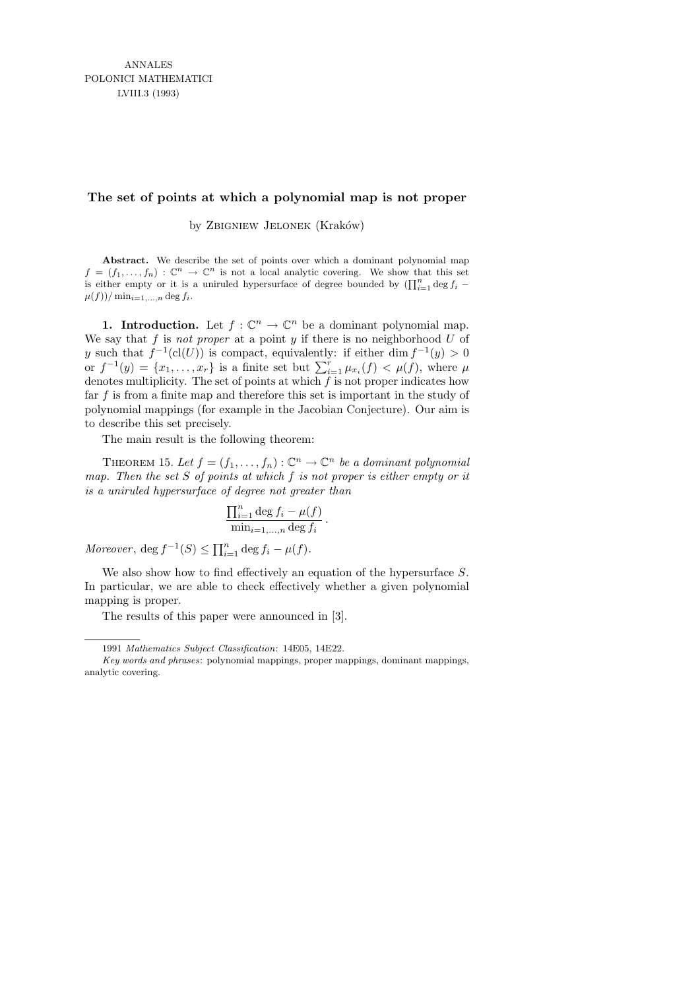## **The set of points at which a polynomial map is not proper**

by ZBIGNIEW JELONEK (Kraków)

**Abstract.** We describe the set of points over which a dominant polynomial map  $f = (f_1, \ldots, f_n) : \mathbb{C}^n \to \mathbb{C}^n$  is not a local analytic covering. We show that this set is either empty or it is a uniruled hypersurface of degree bounded by  $(\prod_{i=1}^{n} \deg f_i \mu(f)$ )/ $\min_{i=1,\ldots,n}$  deg  $f_i$ .

**1. Introduction.** Let  $f: \mathbb{C}^n \to \mathbb{C}^n$  be a dominant polynomial map. We say that f is not proper at a point y if there is no neighborhood  $U$  of y such that  $f^{-1}(cl(U))$  is compact, equivalently: if either dim  $f^{-1}(y) > 0$ or  $f^{-1}(y) = \{x_1, \ldots, x_r\}$  is a finite set but  $\sum_{i=1}^r \mu_{x_i}(f) < \mu(f)$ , where  $\mu$ denotes multiplicity. The set of points at which  $f$  is not proper indicates how far  $f$  is from a finite map and therefore this set is important in the study of polynomial mappings (for example in the Jacobian Conjecture). Our aim is to describe this set precisely.

The main result is the following theorem:

THEOREM 15. Let  $f = (f_1, \ldots, f_n) : \mathbb{C}^n \to \mathbb{C}^n$  be a dominant polynomial map. Then the set  $S$  of points at which  $f$  is not proper is either empty or it is a uniruled hypersurface of degree not greater than

$$
\frac{\prod_{i=1}^n \deg f_i - \mu(f)}{\min_{i=1,\dots,n} \deg f_i}.
$$

Moreover,  $\deg f^{-1}(S) \le \prod_{i=1}^n \deg f_i - \mu(f)$ .

We also show how to find effectively an equation of the hypersurface S. In particular, we are able to check effectively whether a given polynomial mapping is proper.

The results of this paper were announced in [3].

<sup>1991</sup> *Mathematics Subject Classification*: 14E05, 14E22.

*Key words and phrases*: polynomial mappings, proper mappings, dominant mappings, analytic covering.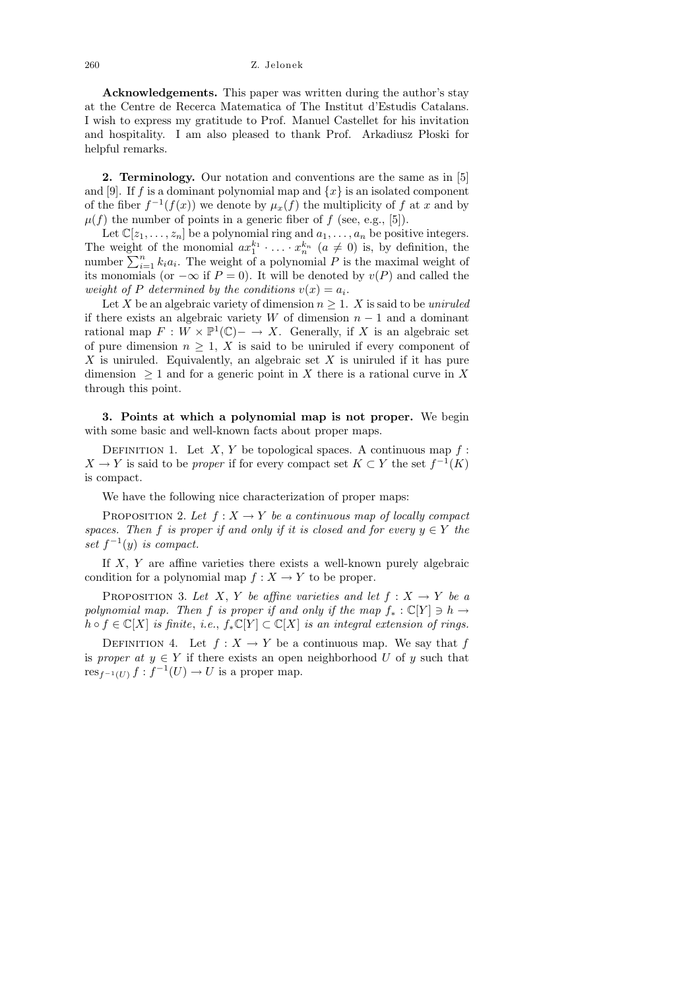260 Z. Jelonek

Acknowledgements. This paper was written during the author's stay at the Centre de Recerca Matematica of The Institut d'Estudis Catalans. I wish to express my gratitude to Prof. Manuel Castellet for his invitation and hospitality. I am also pleased to thank Prof. Arkadiusz Płoski for helpful remarks.

2. Terminology. Our notation and conventions are the same as in [5] and [9]. If f is a dominant polynomial map and  $\{x\}$  is an isolated component of the fiber  $f^{-1}(f(x))$  we denote by  $\mu_x(f)$  the multiplicity of f at x and by  $\mu(f)$  the number of points in a generic fiber of f (see, e.g., [5]).

Let  $\mathbb{C}[z_1,\ldots,z_n]$  be a polynomial ring and  $a_1,\ldots,a_n$  be positive integers. The weight of the monomial  $ax_1^{k_1} \cdot \ldots \cdot x_n^{k_n}$   $(a \neq 0)$  is, by definition, the number  $\sum_{i=1}^{n} k_i a_i$ . The weight of a polynomial P is the maximal weight of its monomials (or  $-\infty$  if  $P=0$ ). It will be denoted by  $v(P)$  and called the weight of P determined by the conditions  $v(x) = a_i$ .

Let X be an algebraic variety of dimension  $n \geq 1$ . X is said to be uniruled if there exists an algebraic variety W of dimension  $n-1$  and a dominant rational map  $F: W \times \mathbb{P}^1(\mathbb{C}) \to X$ . Generally, if X is an algebraic set of pure dimension  $n \geq 1$ , X is said to be uniruled if every component of  $X$  is uniruled. Equivalently, an algebraic set  $X$  is uniruled if it has pure dimension  $\geq 1$  and for a generic point in X there is a rational curve in X through this point.

3. Points at which a polynomial map is not proper. We begin with some basic and well-known facts about proper maps.

DEFINITION 1. Let  $X, Y$  be topological spaces. A continuous map  $f$ :  $X \to Y$  is said to be *proper* if for every compact set  $K \subset Y$  the set  $f^{-1}(K)$ is compact.

We have the following nice characterization of proper maps:

PROPOSITION 2. Let  $f: X \to Y$  be a continuous map of locally compact spaces. Then f is proper if and only if it is closed and for every  $y \in Y$  the set  $f^{-1}(y)$  is compact.

If  $X, Y$  are affine varieties there exists a well-known purely algebraic condition for a polynomial map  $f: X \to Y$  to be proper.

PROPOSITION 3. Let X, Y be affine varieties and let  $f: X \to Y$  be a polynomial map. Then f is proper if and only if the map  $f_* : \mathbb{C}[Y] \ni h \to$  $h \circ f \in \mathbb{C}[X]$  is finite, i.e.,  $f_*\mathbb{C}[Y] \subset \mathbb{C}[X]$  is an integral extension of rings.

DEFINITION 4. Let  $f: X \to Y$  be a continuous map. We say that f is proper at  $y \in Y$  if there exists an open neighborhood U of y such that  $res_{f^{-1}(U)} f : f^{-1}(U) \to U$  is a proper map.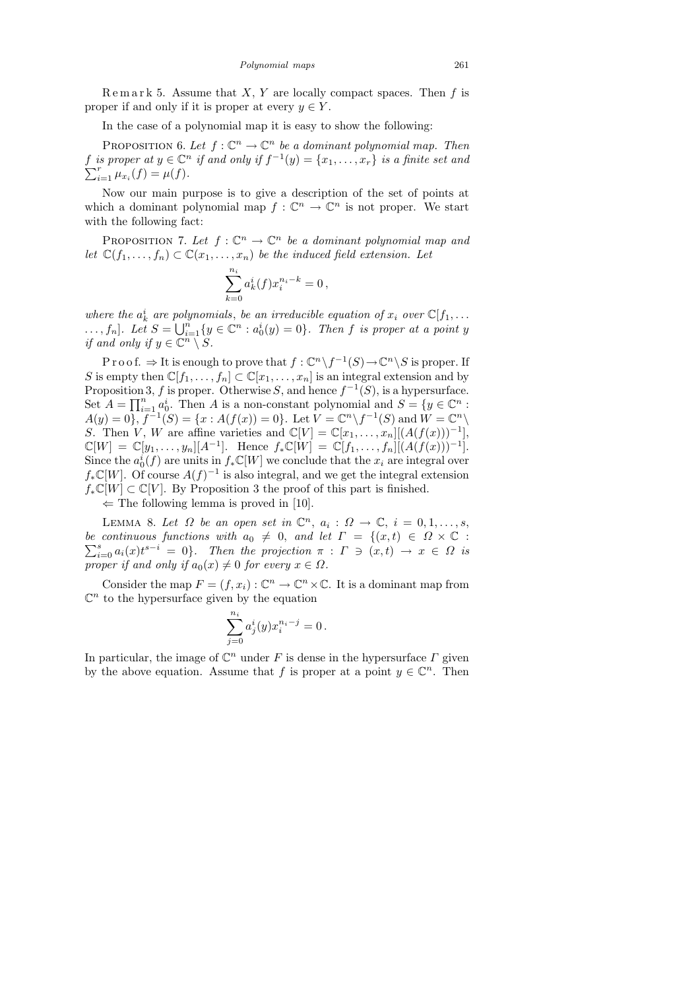$\mathbb{R}$  e m a r k 5. Assume that X, Y are locally compact spaces. Then f is proper if and only if it is proper at every  $y \in Y$ .

In the case of a polynomial map it is easy to show the following:

PROPOSITION 6. Let  $f: \mathbb{C}^n \to \mathbb{C}^n$  be a dominant polynomial map. Then f is proper at  $y \in \mathbb{C}^n$  if and only if  $f^{-1}(y) = \{x_1, \ldots, x_r\}$  is a finite set and  $\sum_{i=1}^r \mu_{x_i}(f) = \mu(f).$ 

Now our main purpose is to give a description of the set of points at which a dominant polynomial map  $f: \mathbb{C}^n \to \mathbb{C}^n$  is not proper. We start with the following fact:

PROPOSITION 7. Let  $f: \mathbb{C}^n \to \mathbb{C}^n$  be a dominant polynomial map and let  $\mathbb{C}(f_1,\ldots,f_n)\subset \mathbb{C}(x_1,\ldots,x_n)$  be the induced field extension. Let

$$
\sum_{k=0}^{n_i} a_k^i(f) x_i^{n_i - k} = 0,
$$

where the  $a_k^i$  are polynomials, be an irreducible equation of  $x_i$  over  $\mathbb{C}[f_1, \ldots]$  $\dots, f_n$ . Let  $S = \bigcup_{i=1}^n \{y \in \mathbb{C}^n : a_0^i(y) = 0\}$ . Then f is proper at a point y if and only if  $y \in \mathbb{C}^n \setminus S$ .

P r o o f.  $\Rightarrow$  It is enough to prove that  $f: \mathbb{C}^n \backslash f^{-1}(S) \to \mathbb{C}^n \backslash S$  is proper. If S is empty then  $\mathbb{C}[f_1,\ldots,f_n]\subset \mathbb{C}[x_1,\ldots,x_n]$  is an integral extension and by Proposition 3, f is proper. Otherwise S, and hence  $f^{-1}(S)$ , is a hypersurface. Set  $A = \prod_{i=1}^{n} a_0^i$ . Then A is a non-constant polynomial and  $S = \{y \in \mathbb{C}^n :$  $A(y) = 0, \, f^{-1}(S) = \{x : A(f(x)) = 0\}.$  Let  $V = \mathbb{C}^n \setminus f^{-1}(S)$  and  $W = \mathbb{C}^n \setminus$ S. Then V, W are affine varieties and  $\mathbb{C}[V] = \mathbb{C}[x_1,\ldots,x_n][(A(f(x)))^{-1}],$  $\mathbb{C}[W] = \mathbb{C}[y_1, \ldots, y_n][A^{-1}]$ . Hence  $f_*\mathbb{C}[W] = \mathbb{C}[f_1, \ldots, f_n][(A(f(x)))^{-1}]$ . Since the  $a_0^i(f)$  are units in  $f_*\mathbb{C}[W]$  we conclude that the  $x_i$  are integral over  $f_*\mathbb{C}[W]$ . Of course  $A(f)^{-1}$  is also integral, and we get the integral extension  $f_*\mathbb{C}[W] \subset \mathbb{C}[V]$ . By Proposition 3 the proof of this part is finished.

 $\Leftarrow$  The following lemma is proved in [10].

LEMMA 8. Let  $\Omega$  be an open set in  $\mathbb{C}^n$ ,  $a_i : \Omega \to \mathbb{C}$ ,  $i = 0, 1, \ldots, s$ , be continuous functions with  $a_0 \neq 0$ , and let  $\Gamma = \{(x,t) \in \Omega \times \mathbb{C} :$  $\sum_{i=0}^{s} a_i(x) t^{s-i} = 0$ . Then the projection  $\pi : \Gamma \ni (x,t) \to x \in \Omega$  is proper if and only if  $a_0(x) \neq 0$  for every  $x \in \Omega$ .

Consider the map  $F = (f, x_i) : \mathbb{C}^n \to \mathbb{C}^n \times \mathbb{C}$ . It is a dominant map from  $\mathbb{C}^n$  to the hypersurface given by the equation

$$
\sum_{j=0}^{n_i} a_j^i(y) x_i^{n_i-j} = 0 \, .
$$

In particular, the image of  $\mathbb{C}^n$  under F is dense in the hypersurface  $\Gamma$  given by the above equation. Assume that f is proper at a point  $y \in \mathbb{C}^n$ . Then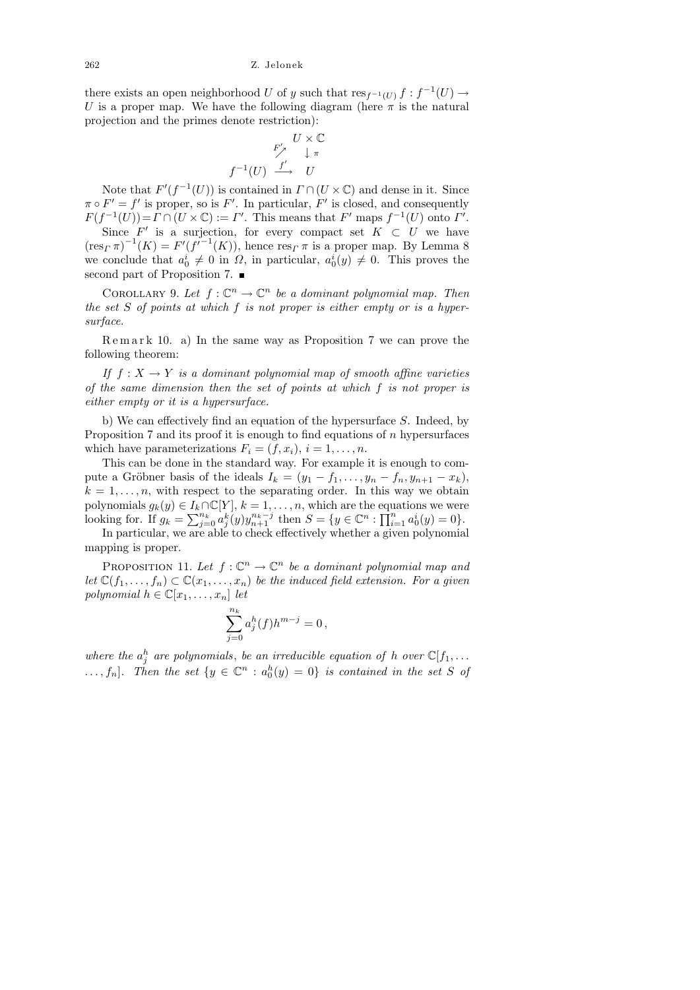there exists an open neighborhood U of y such that  $res_{f^{-1}(U)} f : f^{-1}(U) \to$ U is a proper map. We have the following diagram (here  $\pi$  is the natural projection and the primes denote restriction):

$$
U \times \mathbb{C}
$$
  

$$
F' \downarrow \pi
$$
  

$$
f^{-1}(U) \xrightarrow{f'} U
$$

Note that  $F'(f^{-1}(U))$  is contained in  $\Gamma \cap (U \times \mathbb{C})$  and dense in it. Since  $\pi \circ F' = f'$  is proper, so is F'. In particular, F' is closed, and consequently  $F(f^{-1}(U)) = \Gamma \cap (U \times \mathbb{C}) := \Gamma'$ . This means that  $F'$  maps  $f^{-1}(U)$  onto  $\Gamma'$ .

Since  $F'$  is a surjection, for every compact set  $K \subset U$  we have  $(\operatorname{res}_\Gamma \pi)^{-1}(K) = F'(f^{i-1}(K))$ , hence  $\operatorname{res}_\Gamma \pi$  is a proper map. By Lemma 8 we conclude that  $a_0^i \neq 0$  in  $\Omega$ , in particular,  $a_0^i(y) \neq 0$ . This proves the second part of Proposition 7.

COROLLARY 9. Let  $f: \mathbb{C}^n \to \mathbb{C}^n$  be a dominant polynomial map. Then the set  $S$  of points at which  $f$  is not proper is either empty or is a hypersurface.

 $R$  e m a r k 10. a) In the same way as Proposition 7 we can prove the following theorem:

If  $f: X \to Y$  is a dominant polynomial map of smooth affine varieties of the same dimension then the set of points at which f is not proper is either empty or it is a hypersurface.

b) We can effectively find an equation of the hypersurface S. Indeed, by Proposition 7 and its proof it is enough to find equations of n hypersurfaces which have parameterizations  $F_i = (f, x_i), i = 1, \ldots, n$ .

This can be done in the standard way. For example it is enough to compute a Gröbner basis of the ideals  $I_k = (y_1 - f_1, \ldots, y_n - f_n, y_{n+1} - x_k)$ ,  $k = 1, \ldots, n$ , with respect to the separating order. In this way we obtain polynomials  $g_k(y) \in I_k \cap \mathbb{C}[Y], k = 1, \ldots, n$ , which are the equations we were looking for. If  $g_k = \sum_{j=0}^{n_k} a_j^k(y) y_{n+1}^{n_k-j}$  then  $S = \{y \in \mathbb{C}^n : \prod_{i=1}^n a_0^i(y) = 0\}.$ 

In particular, we are able to check effectively whether a given polynomial mapping is proper.

PROPOSITION 11. Let  $f: \mathbb{C}^n \to \mathbb{C}^n$  be a dominant polynomial map and let  $\mathbb{C}(f_1,\ldots,f_n) \subset \mathbb{C}(x_1,\ldots,x_n)$  be the induced field extension. For a given polynomial  $h \in \mathbb{C}[x_1, \ldots, x_n]$  let

$$
\sum_{j=0}^{n_k} a_j^h(f) h^{m-j} = 0,
$$

where the  $a_j^h$  are polynomials, be an irreducible equation of h over  $\mathbb{C}[f_1, \ldots]$  $\ldots, f_n$ ]. Then the set  $\{y \in \mathbb{C}^n : a_0^h(y) = 0\}$  is contained in the set S of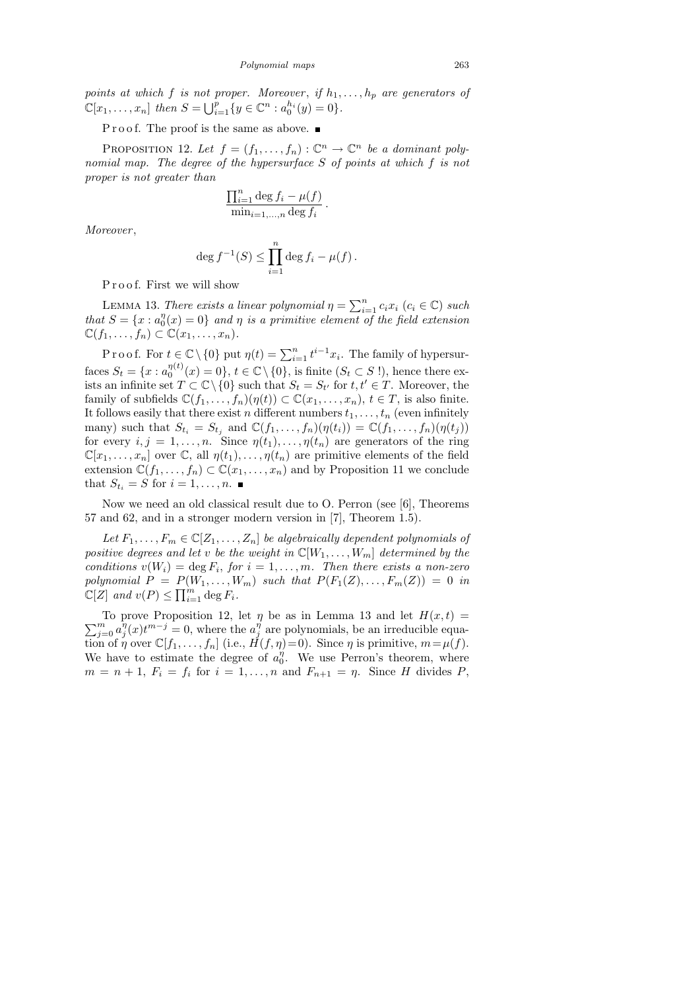points at which f is not proper. Moreover, if  $h_1, \ldots, h_p$  are generators of  $\mathbb{C}[x_1,\ldots,x_n]$  then  $S = \bigcup_{i=1}^p \{y \in \mathbb{C}^n : a_0^{h_i}(y) = 0\}.$ 

P r o o f. The proof is the same as above.

PROPOSITION 12. Let  $f = (f_1, \ldots, f_n) : \mathbb{C}^n \to \mathbb{C}^n$  be a dominant polynomial map. The degree of the hypersurface S of points at which f is not proper is not greater than

$$
\frac{\prod_{i=1}^n \deg f_i - \mu(f)}{\min_{i=1,\dots,n} \deg f_i}.
$$

Moreover ,

$$
\deg f^{-1}(S) \le \prod_{i=1}^n \deg f_i - \mu(f).
$$

Proof. First we will show

LEMMA 13. There exists a linear polynomial  $\eta = \sum_{i=1}^{n} c_i x_i$   $(c_i \in \mathbb{C})$  such that  $S = \{x : a_0^{\eta}$  $\eta_0^{\eta}(x)=0$  and  $\eta$  is a primitive element of the field extension  $\mathbb{C}(f_1,\ldots,f_n)\subset \mathbb{C}(x_1,\ldots,x_n).$ 

P r o o f. For  $t \in \mathbb{C} \setminus \{0\}$  put  $\eta(t) = \sum_{i=1}^n t^{i-1} x_i$ . The family of hypersurfaces  $S_t = \{x : a_0^{\eta(t)}\}$  $\eta_0^{(t)}(x) = 0$ ,  $t \in \mathbb{C} \setminus \{0\}$ , is finite  $(S_t \subset S!)$ , hence there exists an infinite set  $T \subset \mathbb{C} \setminus \{0\}$  such that  $S_t = S_{t'}$  for  $t, t' \in T$ . Moreover, the family of subfields  $\mathbb{C}(f_1,\ldots,f_n)(\eta(t)) \subset \mathbb{C}(x_1,\ldots,x_n), t \in T$ , is also finite. It follows easily that there exist n different numbers  $t_1, \ldots, t_n$  (even infinitely many) such that  $S_{t_i} = S_{t_j}$  and  $\mathbb{C}(f_1, \ldots, f_n)(\eta(t_i)) = \mathbb{C}(f_1, \ldots, f_n)(\eta(t_j))$ for every  $i, j = 1, \ldots, n$ . Since  $\eta(t_1), \ldots, \eta(t_n)$  are generators of the ring  $\mathbb{C}[x_1,\ldots,x_n]$  over  $\mathbb{C}$ , all  $\eta(t_1),\ldots,\eta(t_n)$  are primitive elements of the field extension  $\mathbb{C}(f_1,\ldots,f_n) \subset \mathbb{C}(x_1,\ldots,x_n)$  and by Proposition 11 we conclude that  $S_{t_i} = S$  for  $i = 1, ..., n$ .

Now we need an old classical result due to O. Perron (see [6], Theorems 57 and 62, and in a stronger modern version in [7], Theorem 1.5).

Let  $F_1, \ldots, F_m \in \mathbb{C}[Z_1, \ldots, Z_n]$  be algebraically dependent polynomials of positive degrees and let v be the weight in  $\mathbb{C}[W_1,\ldots,W_m]$  determined by the conditions  $v(W_i) = \deg F_i$ , for  $i = 1, ..., m$ . Then there exists a non-zero polynomial  $P = P(W_1, \ldots, W_m)$  such that  $P(F_1(Z), \ldots, F_m(Z)) = 0$  in  $\mathbb{C}[Z]$  and  $v(P) \leq \prod_{i=1}^{m} \deg F_i$ .

 $\sum$ To prove Proposition 12, let  $\eta$  be as in Lemma 13 and let  $H(x,t) =$ <br>  $\sum_{j=0}^{m} a_j^{\eta}(x) t^{m-j} = 0$ , where the  $a_j^{\eta}$  are polynomials, be an irreducible equa- $\bar{y}_j^{\eta}(x)t^{m-j} = 0$ , where the  $a_j^{\eta}$  $j<sup>η</sup>$  are polynomials, be an irreducible equation of  $\eta$  over  $\mathbb{C}[f_1,\ldots,f_n]$  (i.e.,  $H(f,\eta)=0$ ). Since  $\eta$  is primitive,  $m=\mu(f)$ . We have to estimate the degree of  $a_0^{\eta}$  $_{0}^{\eta}$ . We use Perron's theorem, where  $m = n + 1$ ,  $F_i = f_i$  for  $i = 1, ..., n$  and  $F_{n+1} = \eta$ . Since H divides P,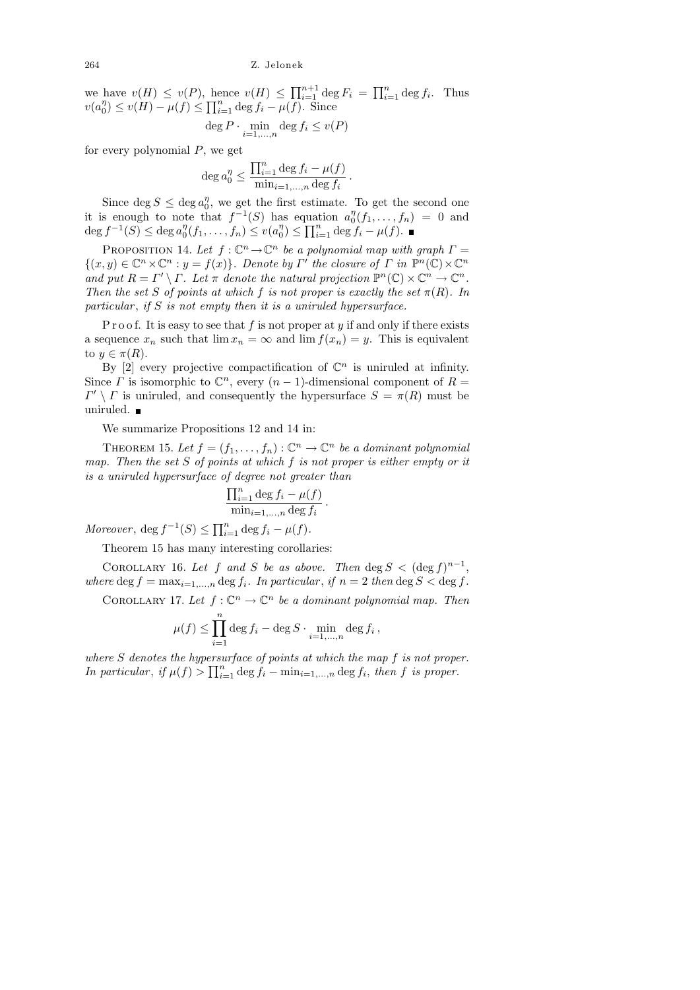264 Z. Jelonek

we have  $v(H) \le v(P)$ , hence  $v(H) \le \prod_{i=1}^{n+1} \deg F_i = \prod_{i=1}^n \deg f_i$ . Thus  $v(a_0^{\eta}$  $\binom{n}{0} \le v(H) - \mu(f) \le \prod_{i=1}^n \deg f_i - \mu(f)$ . Since

$$
\deg P \cdot \min_{i=1,\dots,n} \deg f_i \le v(P)
$$

for every polynomial  $P$ , we get

$$
\deg a_0^{\eta} \le \frac{\prod_{i=1}^n \deg f_i - \mu(f)}{\min_{i=1,\dots,n} \deg f_i}
$$

.

Since  $\deg S \leq \deg a_0^{\eta}$  $\eta$ , we get the first estimate. To get the second one it is enough to note that  $f^{-1}(S)$  has equation  $a_0^{\eta}$  $\binom{\eta}{0}(f_1,\ldots,f_n) = 0$  and  $\deg f^{-1}(S) \leq \deg a_0^{\eta}$  $v_0^{\eta}(f_1,\ldots,f_n)\leq v(a_0^{\eta})$  $\eta_0^n$ )  $\leq \prod_{i=1}^n \deg f_i - \mu(f).$ 

PROPOSITION 14. Let  $f: \mathbb{C}^n \to \mathbb{C}^n$  be a polynomial map with graph  $\Gamma =$  $\{(x, y) \in \mathbb{C}^n \times \mathbb{C}^n : y = f(x)\}\.$  Denote by  $\Gamma'$  the closure of  $\Gamma$  in  $\mathbb{P}^n(\mathbb{C}) \times \mathbb{C}^n$ and put  $R = \Gamma' \setminus \Gamma$ . Let  $\pi$  denote the natural projection  $\mathbb{P}^n(\mathbb{C}) \times \mathbb{C}^n \to \mathbb{C}^n$ . Then the set S of points at which f is not proper is exactly the set  $\pi(R)$ . In particular, if  $S$  is not empty then it is a uniruled hypersurface.

P r o o f. It is easy to see that f is not proper at y if and only if there exists a sequence  $x_n$  such that  $\lim x_n = \infty$  and  $\lim f(x_n) = y$ . This is equivalent to  $y \in \pi(R)$ .

By [2] every projective compactification of  $\mathbb{C}^n$  is uniruled at infinity. Since  $\Gamma$  is isomorphic to  $\mathbb{C}^n$ , every  $(n-1)$ -dimensional component of  $R=$  $\Gamma' \setminus \Gamma$  is uniruled, and consequently the hypersurface  $S = \pi(R)$  must be uniruled.

We summarize Propositions 12 and 14 in:

THEOREM 15. Let  $f = (f_1, \ldots, f_n) : \mathbb{C}^n \to \mathbb{C}^n$  be a dominant polynomial map. Then the set  $S$  of points at which  $f$  is not proper is either empty or it is a uniruled hypersurface of degree not greater than

$$
\frac{\prod_{i=1}^n \deg f_i - \mu(f)}{\min_{i=1,\dots,n} \deg f_i}.
$$

Moreover,  $\deg f^{-1}(S) \le \prod_{i=1}^n \deg f_i - \mu(f)$ .

Theorem 15 has many interesting corollaries:

COROLLARY 16. Let f and S be as above. Then  $\deg S < (\deg f)^{n-1}$ , where deg  $f = \max_{i=1,...,n} \deg f_i$ . In particular, if  $n = 2$  then deg  $S < \deg f$ .

COROLLARY 17. Let  $f: \mathbb{C}^n \to \mathbb{C}^n$  be a dominant polynomial map. Then

$$
\mu(f) \le \prod_{i=1}^n \deg f_i - \deg S \cdot \min_{i=1,\dots,n} \deg f_i,
$$

where S denotes the hypersurface of points at which the map f is not proper. In particular, if  $\mu(f) > \prod_{i=1}^n \deg f_i - \min_{i=1,\dots,n} \deg f_i$ , then f is proper.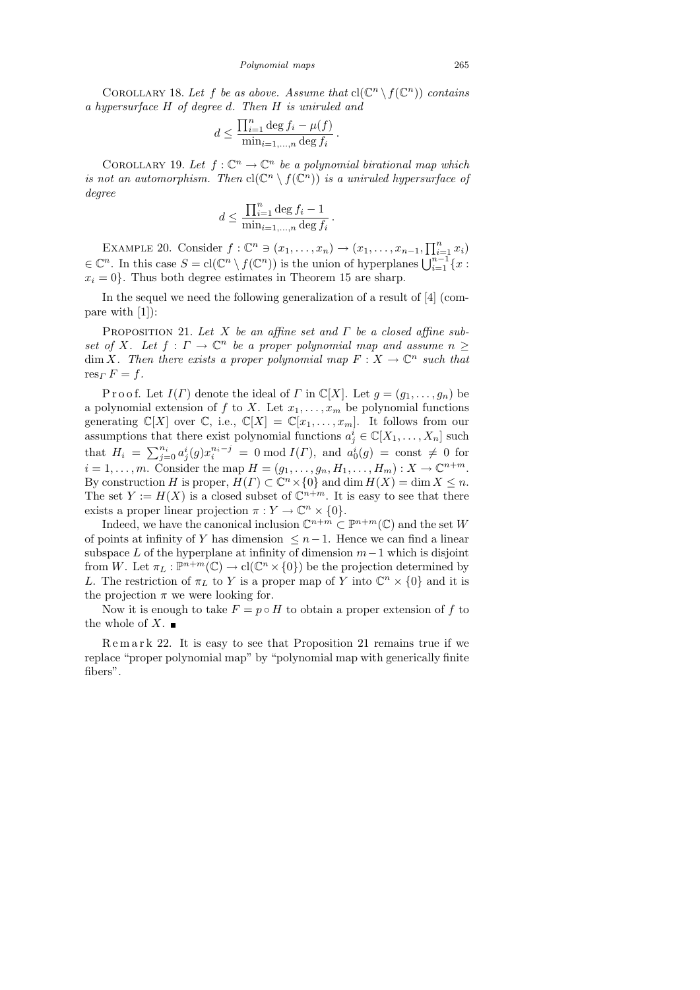$$
d \le \frac{\prod_{i=1}^n \deg f_i - \mu(f)}{\min_{i=1,\dots,n} \deg f_i}.
$$

COROLLARY 19. Let  $f: \mathbb{C}^n \to \mathbb{C}^n$  be a polynomial birational map which is not an automorphism. Then  $\text{cl}(\mathbb{C}^n \setminus f(\mathbb{C}^n))$  is a uniruled hypersurface of degree

$$
d \le \frac{\prod_{i=1}^{n} \deg f_i - 1}{\min_{i=1,\dots,n} \deg f_i}
$$

.

EXAMPLE 20. Consider  $f: \mathbb{C}^n \ni (x_1, \ldots, x_n) \to (x_1, \ldots, x_{n-1}, \prod_{i=1}^n x_i)$  $\in \mathbb{C}^n$ . In this case  $S = \text{cl}(\mathbb{C}^n \setminus f(\mathbb{C}^n))$  is the union of hyperplanes  $\bigcup_{i=1}^{n-1} \{x :$  $x_i = 0$ . Thus both degree estimates in Theorem 15 are sharp.

In the sequel we need the following generalization of a result of [4] (compare with [1]):

PROPOSITION 21. Let X be an affine set and  $\Gamma$  be a closed affine subset of X. Let  $f: \Gamma \to \mathbb{C}^n$  be a proper polynomial map and assume  $n \geq$  $\dim X$ . Then there exists a proper polynomial map  $F: X \to \mathbb{C}^n$  such that  $res_\Gamma F = f.$ 

P r o o f. Let  $I(\Gamma)$  denote the ideal of  $\Gamma$  in  $\mathbb{C}[X]$ . Let  $g = (g_1, \ldots, g_n)$  be a polynomial extension of f to X. Let  $x_1, \ldots, x_m$  be polynomial functions generating  $\mathbb{C}[X]$  over  $\mathbb{C}$ , i.e.,  $\mathbb{C}[X] = \mathbb{C}[x_1,\ldots,x_m]$ . It follows from our assumptions that there exist polynomial functions  $a_j^i \in \mathbb{C}[X_1,\ldots,X_n]$  such that  $H_i = \sum_{j=0}^{n_i} a_j^i(g) x_i^{n_i-j} = 0 \mod I(\Gamma)$ , and  $a_0^i(g) = \text{const} \neq 0$  for  $i = 1, \ldots, m$ . Consider the map  $H = (g_1, \ldots, g_n, H_1, \ldots, H_m) : X \to \mathbb{C}^{n+m}$ . By construction H is proper,  $H(\Gamma) \subset \mathbb{C}^n \times \{0\}$  and  $\dim H(X) = \dim X \leq n$ . The set  $Y := H(X)$  is a closed subset of  $\mathbb{C}^{n+m}$ . It is easy to see that there exists a proper linear projection  $\pi: Y \to \mathbb{C}^n \times \{0\}.$ 

Indeed, we have the canonical inclusion  $\mathbb{C}^{n+m} \subset \mathbb{P}^{n+m}(\mathbb{C})$  and the set W of points at infinity of Y has dimension  $\leq n-1$ . Hence we can find a linear subspace L of the hyperplane at infinity of dimension  $m-1$  which is disjoint from W. Let  $\pi_L : \mathbb{P}^{n+m}(\mathbb{C}) \to cl(\mathbb{C}^n \times \{0\})$  be the projection determined by L. The restriction of  $\pi_L$  to Y is a proper map of Y into  $\mathbb{C}^n \times \{0\}$  and it is the projection  $\pi$  we were looking for.

Now it is enough to take  $F = p \circ H$  to obtain a proper extension of f to the whole of  $X$ .

R e m a r k 22. It is easy to see that Proposition 21 remains true if we replace "proper polynomial map" by "polynomial map with generically finite fibers".